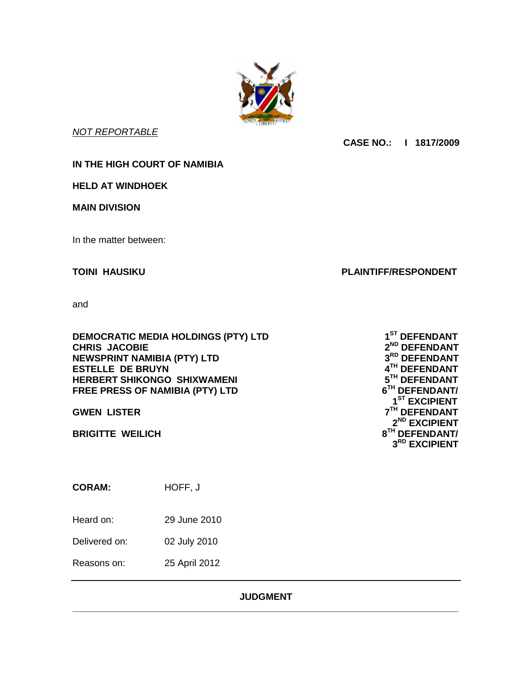

*NOT REPORTABLE*

**CASE NO.: I 1817/2009**

**IN THE HIGH COURT OF NAMIBIA**

**HELD AT WINDHOEK**

**MAIN DIVISION**

In the matter between:

**TOINI HAUSIKU PLAINTIFF/RESPONDENT**

and

**DEMOCRATIC MEDIA HOLDINGS (PTY) LTD 1 CHRIS JACOBIE 2 NEWSPRINT NAMIBIA (PTY) LTD 3 ESTELLE DE BRUYN HERBERT SHIKONGO SHIXWAMENI FREE PRESS OF NAMIBIA (PTY) LTD 6**

**GWEN LISTER 7**

**BRIGITTE WEILICH 8**

**CORAM:** HOFF, J

Heard on: 29 June 2010

Delivered on: 02 July 2010

Reasons on: 25 April 2012

# **JUDGMENT \_\_\_\_\_\_\_\_\_\_\_\_\_\_\_\_\_\_\_\_\_\_\_\_\_\_\_\_\_\_\_\_\_\_\_\_\_\_\_\_\_\_\_\_\_\_\_\_\_\_\_\_\_\_\_\_\_\_\_\_\_\_\_\_\_\_\_\_\_\_\_\_\_\_**

**ST DEFENDANT ND DEFENDANT RD DEFENDANT TH DEFENDANT TH DEFENDANT TH DEFENDANT/ 1 ST EXCIPIENT TH DEFENDANT 2 ND EXCIPIENT TH DEFENDANT/ 3 RD EXCIPIENT**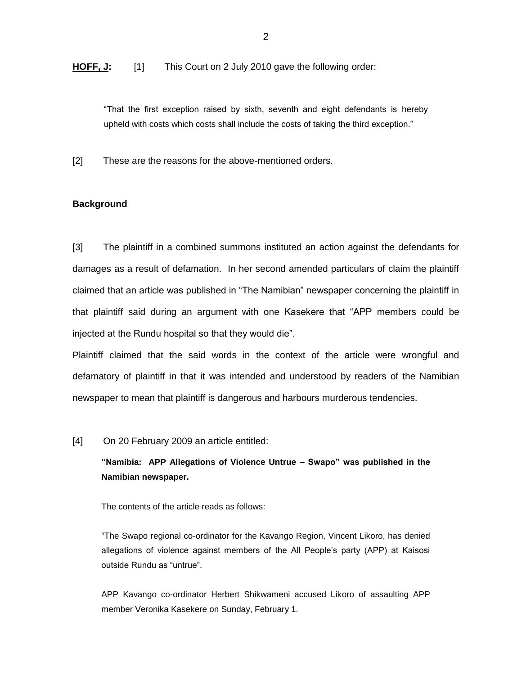**HOFF, J:** [1] This Court on 2 July 2010 gave the following order:

"That the first exception raised by sixth, seventh and eight defendants is hereby upheld with costs which costs shall include the costs of taking the third exception."

[2] These are the reasons for the above-mentioned orders.

### **Background**

[3] The plaintiff in a combined summons instituted an action against the defendants for damages as a result of defamation. In her second amended particulars of claim the plaintiff claimed that an article was published in "The Namibian" newspaper concerning the plaintiff in that plaintiff said during an argument with one Kasekere that "APP members could be injected at the Rundu hospital so that they would die".

Plaintiff claimed that the said words in the context of the article were wrongful and defamatory of plaintiff in that it was intended and understood by readers of the Namibian newspaper to mean that plaintiff is dangerous and harbours murderous tendencies.

#### [4] On 20 February 2009 an article entitled:

**"Namibia: APP Allegations of Violence Untrue – Swapo" was published in the Namibian newspaper.**

The contents of the article reads as follows:

"The Swapo regional co-ordinator for the Kavango Region, Vincent Likoro, has denied allegations of violence against members of the All People's party (APP) at Kaisosi outside Rundu as "untrue".

APP Kavango co-ordinator Herbert Shikwameni accused Likoro of assaulting APP member Veronika Kasekere on Sunday, February 1.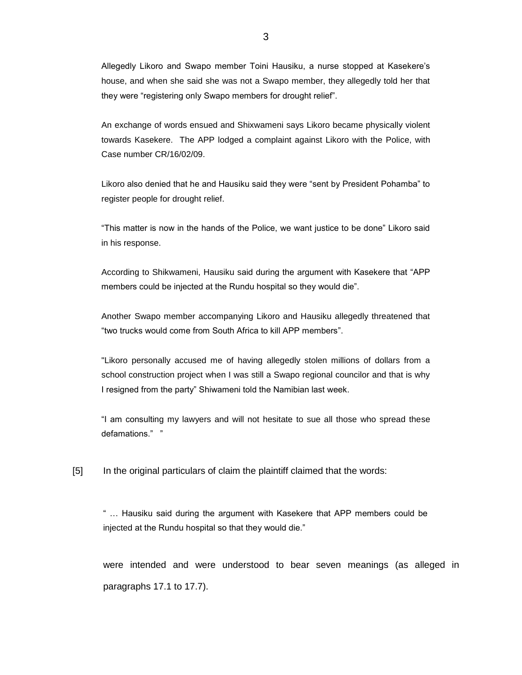Allegedly Likoro and Swapo member Toini Hausiku, a nurse stopped at Kasekere's house, and when she said she was not a Swapo member, they allegedly told her that they were "registering only Swapo members for drought relief".

An exchange of words ensued and Shixwameni says Likoro became physically violent towards Kasekere. The APP lodged a complaint against Likoro with the Police, with Case number CR/16/02/09.

Likoro also denied that he and Hausiku said they were "sent by President Pohamba" to register people for drought relief.

"This matter is now in the hands of the Police, we want justice to be done" Likoro said in his response.

According to Shikwameni, Hausiku said during the argument with Kasekere that "APP members could be injected at the Rundu hospital so they would die".

Another Swapo member accompanying Likoro and Hausiku allegedly threatened that "two trucks would come from South Africa to kill APP members".

"Likoro personally accused me of having allegedly stolen millions of dollars from a school construction project when I was still a Swapo regional councilor and that is why I resigned from the party" Shiwameni told the Namibian last week.

"I am consulting my lawyers and will not hesitate to sue all those who spread these defamations." "

[5] In the original particulars of claim the plaintiff claimed that the words:

" … Hausiku said during the argument with Kasekere that APP members could be injected at the Rundu hospital so that they would die."

were intended and were understood to bear seven meanings (as alleged in paragraphs 17.1 to 17.7).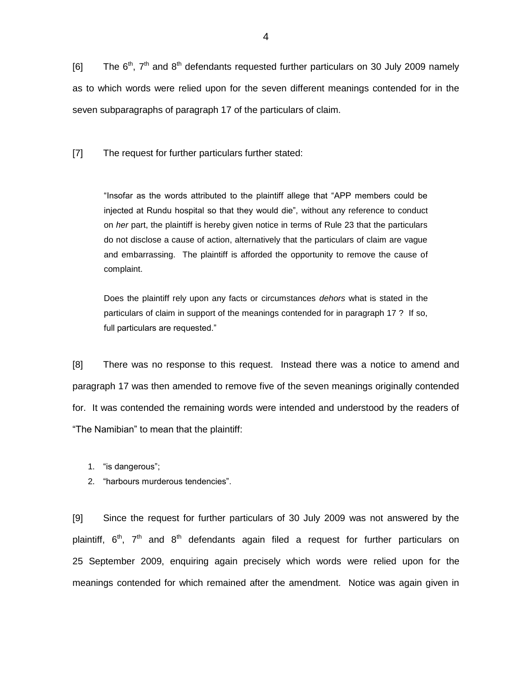[6] The  $6<sup>th</sup>$ ,  $7<sup>th</sup>$  and  $8<sup>th</sup>$  defendants requested further particulars on 30 July 2009 namely as to which words were relied upon for the seven different meanings contended for in the seven subparagraphs of paragraph 17 of the particulars of claim.

[7] The request for further particulars further stated:

"Insofar as the words attributed to the plaintiff allege that "APP members could be injected at Rundu hospital so that they would die", without any reference to conduct on *her* part, the plaintiff is hereby given notice in terms of Rule 23 that the particulars do not disclose a cause of action, alternatively that the particulars of claim are vague and embarrassing. The plaintiff is afforded the opportunity to remove the cause of complaint.

Does the plaintiff rely upon any facts or circumstances *dehors* what is stated in the particulars of claim in support of the meanings contended for in paragraph 17 ? If so, full particulars are requested."

[8] There was no response to this request. Instead there was a notice to amend and paragraph 17 was then amended to remove five of the seven meanings originally contended for. It was contended the remaining words were intended and understood by the readers of "The Namibian" to mean that the plaintiff:

- 1. "is dangerous";
- 2. "harbours murderous tendencies".

[9] Since the request for further particulars of 30 July 2009 was not answered by the plaintiff,  $6<sup>th</sup>$ ,  $7<sup>th</sup>$  and  $8<sup>th</sup>$  defendants again filed a request for further particulars on 25 September 2009, enquiring again precisely which words were relied upon for the meanings contended for which remained after the amendment. Notice was again given in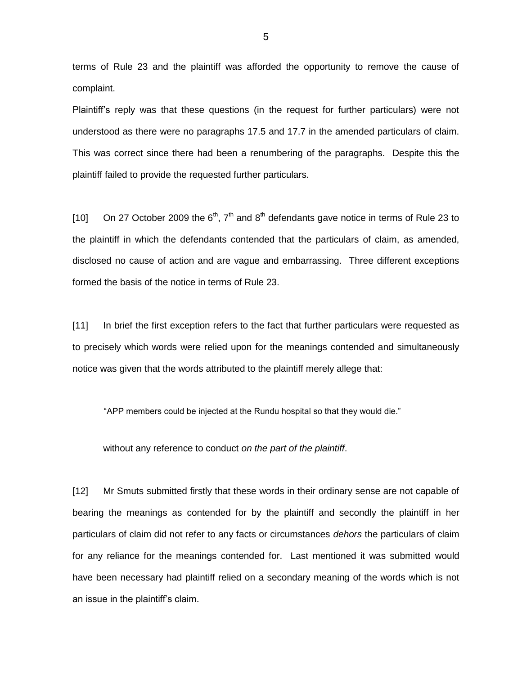terms of Rule 23 and the plaintiff was afforded the opportunity to remove the cause of complaint.

Plaintiff's reply was that these questions (in the request for further particulars) were not understood as there were no paragraphs 17.5 and 17.7 in the amended particulars of claim. This was correct since there had been a renumbering of the paragraphs. Despite this the plaintiff failed to provide the requested further particulars.

[10] On 27 October 2009 the  $6<sup>th</sup>$ ,  $7<sup>th</sup>$  and  $8<sup>th</sup>$  defendants gave notice in terms of Rule 23 to the plaintiff in which the defendants contended that the particulars of claim, as amended, disclosed no cause of action and are vague and embarrassing. Three different exceptions formed the basis of the notice in terms of Rule 23.

[11] In brief the first exception refers to the fact that further particulars were requested as to precisely which words were relied upon for the meanings contended and simultaneously notice was given that the words attributed to the plaintiff merely allege that:

"APP members could be injected at the Rundu hospital so that they would die."

without any reference to conduct *on the part of the plaintiff*.

[12] Mr Smuts submitted firstly that these words in their ordinary sense are not capable of bearing the meanings as contended for by the plaintiff and secondly the plaintiff in her particulars of claim did not refer to any facts or circumstances *dehors* the particulars of claim for any reliance for the meanings contended for. Last mentioned it was submitted would have been necessary had plaintiff relied on a secondary meaning of the words which is not an issue in the plaintiff's claim.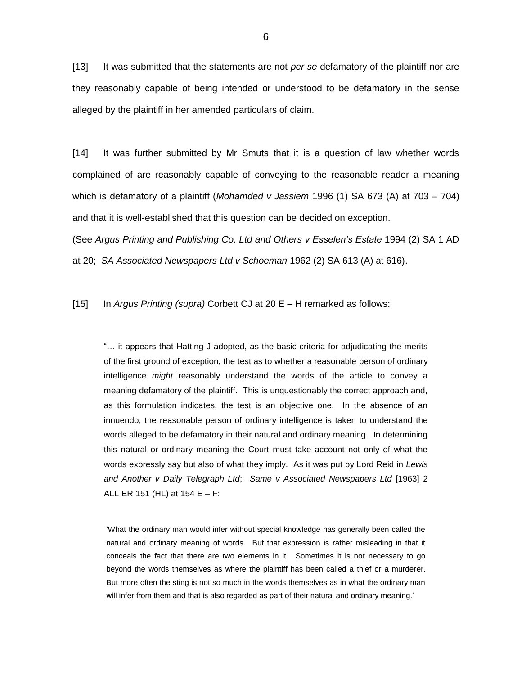[13] It was submitted that the statements are not *per se* defamatory of the plaintiff nor are they reasonably capable of being intended or understood to be defamatory in the sense alleged by the plaintiff in her amended particulars of claim.

[14] It was further submitted by Mr Smuts that it is a question of law whether words complained of are reasonably capable of conveying to the reasonable reader a meaning which is defamatory of a plaintiff (*Mohamded v Jassiem* 1996 (1) SA 673 (A) at 703 – 704) and that it is well-established that this question can be decided on exception.

(See *Argus Printing and Publishing Co. Ltd and Others v Esselen's Estate* 1994 (2) SA 1 AD at 20; *SA Associated Newspapers Ltd v Schoeman* 1962 (2) SA 613 (A) at 616).

[15] In *Argus Printing (supra)* Corbett CJ at 20 E – H remarked as follows:

"… it appears that Hatting J adopted, as the basic criteria for adjudicating the merits of the first ground of exception, the test as to whether a reasonable person of ordinary intelligence *might* reasonably understand the words of the article to convey a meaning defamatory of the plaintiff. This is unquestionably the correct approach and, as this formulation indicates, the test is an objective one. In the absence of an innuendo, the reasonable person of ordinary intelligence is taken to understand the words alleged to be defamatory in their natural and ordinary meaning. In determining this natural or ordinary meaning the Court must take account not only of what the words expressly say but also of what they imply. As it was put by Lord Reid in *Lewis and Another v Daily Telegraph Ltd*; *Same v Associated Newspapers Ltd* [1963] 2 ALL ER 151 (HL) at 154 E – F:

'What the ordinary man would infer without special knowledge has generally been called the natural and ordinary meaning of words. But that expression is rather misleading in that it conceals the fact that there are two elements in it. Sometimes it is not necessary to go beyond the words themselves as where the plaintiff has been called a thief or a murderer. But more often the sting is not so much in the words themselves as in what the ordinary man will infer from them and that is also regarded as part of their natural and ordinary meaning.'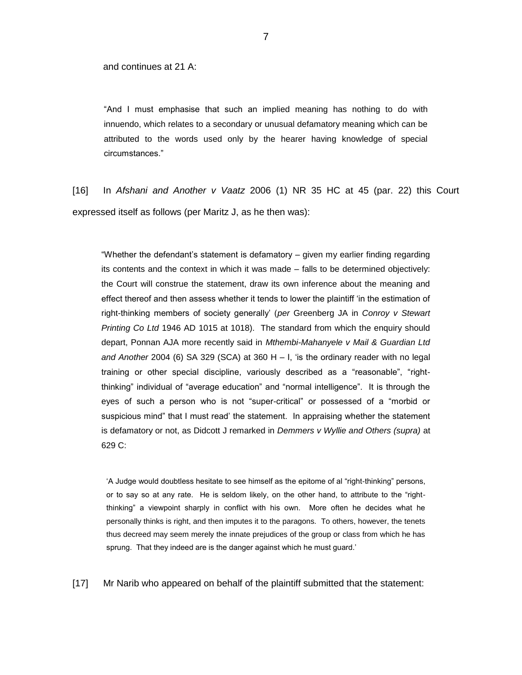and continues at 21 A:

"And I must emphasise that such an implied meaning has nothing to do with innuendo, which relates to a secondary or unusual defamatory meaning which can be attributed to the words used only by the hearer having knowledge of special circumstances."

[16] In *Afshani and Another v Vaatz* 2006 (1) NR 35 HC at 45 (par. 22) this Court expressed itself as follows (per Maritz J, as he then was):

"Whether the defendant's statement is defamatory – given my earlier finding regarding its contents and the context in which it was made – falls to be determined objectively: the Court will construe the statement, draw its own inference about the meaning and effect thereof and then assess whether it tends to lower the plaintiff 'in the estimation of right-thinking members of society generally' (*per* Greenberg JA in *Conroy v Stewart Printing Co Ltd* 1946 AD 1015 at 1018). The standard from which the enquiry should depart, Ponnan AJA more recently said in *Mthembi-Mahanyele v Mail & Guardian Ltd and Another* 2004 (6) SA 329 (SCA) at 360 H – I, 'is the ordinary reader with no legal training or other special discipline, variously described as a "reasonable", "rightthinking" individual of "average education" and "normal intelligence". It is through the eyes of such a person who is not "super-critical" or possessed of a "morbid or suspicious mind" that I must read' the statement. In appraising whether the statement is defamatory or not, as Didcott J remarked in *Demmers v Wyllie and Others (supra)* at 629 C:

'A Judge would doubtless hesitate to see himself as the epitome of al "right-thinking" persons, or to say so at any rate. He is seldom likely, on the other hand, to attribute to the "rightthinking" a viewpoint sharply in conflict with his own. More often he decides what he personally thinks is right, and then imputes it to the paragons. To others, however, the tenets thus decreed may seem merely the innate prejudices of the group or class from which he has sprung. That they indeed are is the danger against which he must guard.'

[17] Mr Narib who appeared on behalf of the plaintiff submitted that the statement: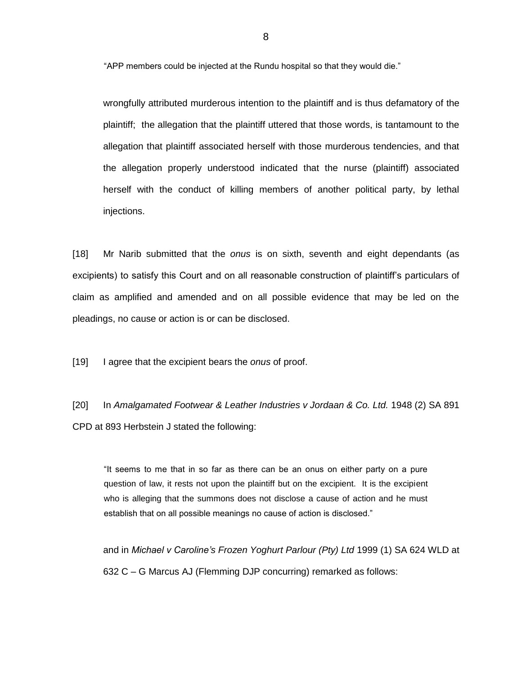"APP members could be injected at the Rundu hospital so that they would die."

wrongfully attributed murderous intention to the plaintiff and is thus defamatory of the plaintiff; the allegation that the plaintiff uttered that those words, is tantamount to the allegation that plaintiff associated herself with those murderous tendencies, and that the allegation properly understood indicated that the nurse (plaintiff) associated herself with the conduct of killing members of another political party, by lethal injections.

[18] Mr Narib submitted that the *onus* is on sixth, seventh and eight dependants (as excipients) to satisfy this Court and on all reasonable construction of plaintiff's particulars of claim as amplified and amended and on all possible evidence that may be led on the pleadings, no cause or action is or can be disclosed.

[19] I agree that the excipient bears the *onus* of proof.

[20] In *Amalgamated Footwear & Leather Industries v Jordaan & Co. Ltd.* 1948 (2) SA 891 CPD at 893 Herbstein J stated the following:

"It seems to me that in so far as there can be an onus on either party on a pure question of law, it rests not upon the plaintiff but on the excipient. It is the excipient who is alleging that the summons does not disclose a cause of action and he must establish that on all possible meanings no cause of action is disclosed."

and in *Michael v Caroline's Frozen Yoghurt Parlour (Pty) Ltd* 1999 (1) SA 624 WLD at 632 C – G Marcus AJ (Flemming DJP concurring) remarked as follows: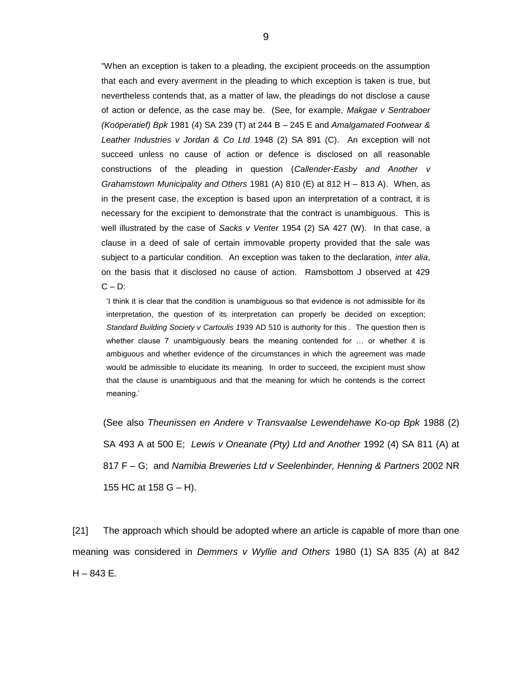"When an exception is taken to a pleading, the excipient proceeds on the assumption that each and every averment in the pleading to which exception is taken is true, but nevertheless contends that, as a matter of law, the pleadings do not disclose a cause of action or defence, as the case may be. (See, for example, *Makgae v Sentraboer (Koöperatief) Bpk* 1981 (4) SA 239 (T) at 244 B – 245 E and *Amalgamated Footwear & Leather Industries v Jordan & Co Ltd* 1948 (2) SA 891 (C). An exception will not succeed unless no cause of action or defence is disclosed on all reasonable constructions of the pleading in question (*Callender-Easby and Another v Grahamstown Municipality and Others* 1981 (A) 810 (E) at 812 H – 813 A). When, as in the present case, the exception is based upon an interpretation of a contract, it is necessary for the excipient to demonstrate that the contract is unambiguous. This is well illustrated by the case of *Sacks v Venter* 1954 (2) SA 427 (W). In that case, a clause in a deed of sale of certain immovable property provided that the sale was subject to a particular condition. An exception was taken to the declaration, *inter alia*, on the basis that it disclosed no cause of action. Ramsbottom J observed at 429  $C - D$ :

'I think it is clear that the condition is unambiguous so that evidence is not admissible for its interpretation, the question of its interpretation can properly be decided on exception; *Standard Building Society v Cartoulis 1*939 AD 510 is authority for this . The question then is whether clause 7 unambiguously bears the meaning contended for ... or whether it is ambiguous and whether evidence of the circumstances in which the agreement was made would be admissible to elucidate its meaning. In order to succeed, the excipient must show that the clause is unambiguous and that the meaning for which he contends is the correct meaning.'

(See also *Theunissen en Andere v Transvaalse Lewendehawe Ko-op Bpk* 1988 (2) SA 493 A at 500 E; *Lewis v Oneanate (Pty) Ltd and Another* 1992 (4) SA 811 (A) at 817 F – G; and *Namibia Breweries Ltd v Seelenbinder, Henning & Partners* 2002 NR 155 HC at 158 G – H).

[21] The approach which should be adopted where an article is capable of more than one meaning was considered in *Demmers v Wyllie and Others* 1980 (1) SA 835 (A) at 842  $H - 843 E$ .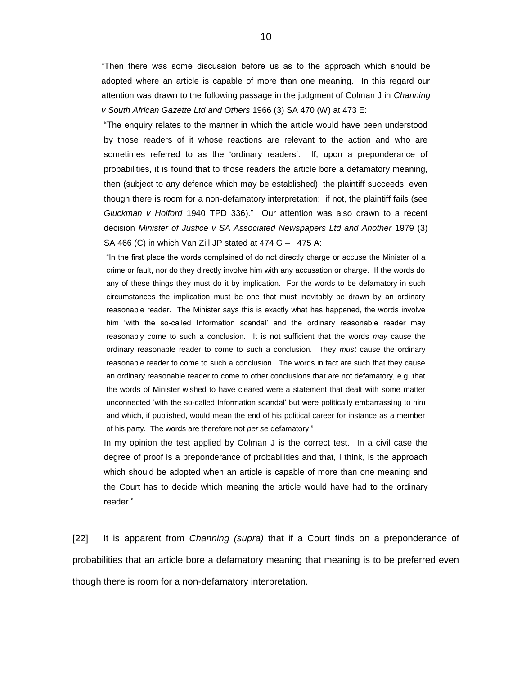"Then there was some discussion before us as to the approach which should be adopted where an article is capable of more than one meaning. In this regard our attention was drawn to the following passage in the judgment of Colman J in *Channing v South African Gazette Ltd and Others* 1966 (3) SA 470 (W) at 473 E:

"The enquiry relates to the manner in which the article would have been understood by those readers of it whose reactions are relevant to the action and who are sometimes referred to as the 'ordinary readers'. If, upon a preponderance of probabilities, it is found that to those readers the article bore a defamatory meaning, then (subject to any defence which may be established), the plaintiff succeeds, even though there is room for a non-defamatory interpretation: if not, the plaintiff fails (see *Gluckman v Holford* 1940 TPD 336)." Our attention was also drawn to a recent decision *Minister of Justice v SA Associated Newspapers Ltd and Another* 1979 (3) SA 466 (C) in which Van Zijl JP stated at  $474$  G -  $475$  A:

"In the first place the words complained of do not directly charge or accuse the Minister of a crime or fault, nor do they directly involve him with any accusation or charge. If the words do any of these things they must do it by implication. For the words to be defamatory in such circumstances the implication must be one that must inevitably be drawn by an ordinary reasonable reader. The Minister says this is exactly what has happened, the words involve him 'with the so-called Information scandal' and the ordinary reasonable reader may reasonably come to such a conclusion. It is not sufficient that the words *may* cause the ordinary reasonable reader to come to such a conclusion. They *must* cause the ordinary reasonable reader to come to such a conclusion. The words in fact are such that they cause an ordinary reasonable reader to come to other conclusions that are not defamatory, e.g. that the words of Minister wished to have cleared were a statement that dealt with some matter unconnected 'with the so-called Information scandal' but were politically embarrassing to him and which, if published, would mean the end of his political career for instance as a member of his party. The words are therefore not *per se* defamatory."

In my opinion the test applied by Colman J is the correct test. In a civil case the degree of proof is a preponderance of probabilities and that, I think, is the approach which should be adopted when an article is capable of more than one meaning and the Court has to decide which meaning the article would have had to the ordinary reader."

[22] It is apparent from *Channing (supra)* that if a Court finds on a preponderance of probabilities that an article bore a defamatory meaning that meaning is to be preferred even though there is room for a non-defamatory interpretation.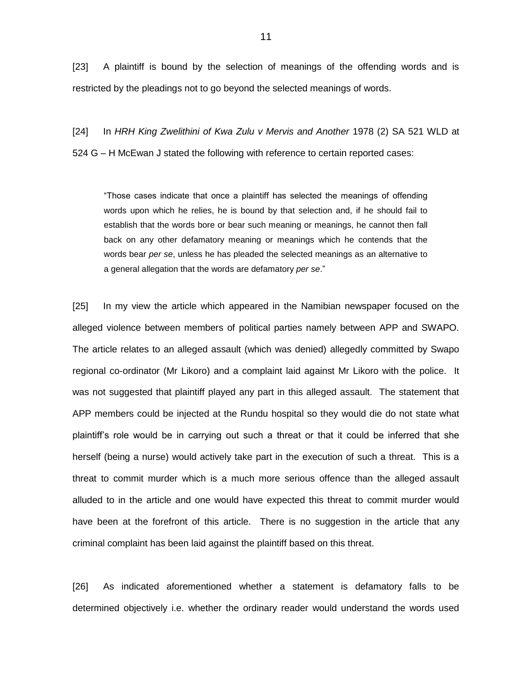[23] A plaintiff is bound by the selection of meanings of the offending words and is restricted by the pleadings not to go beyond the selected meanings of words.

[24] In *HRH King Zwelithini of Kwa Zulu v Mervis and Another* 1978 (2) SA 521 WLD at 524 G – H McEwan J stated the following with reference to certain reported cases:

"Those cases indicate that once a plaintiff has selected the meanings of offending words upon which he relies, he is bound by that selection and, if he should fail to establish that the words bore or bear such meaning or meanings, he cannot then fall back on any other defamatory meaning or meanings which he contends that the words bear *per se*, unless he has pleaded the selected meanings as an alternative to a general allegation that the words are defamatory *per se*."

[25] In my view the article which appeared in the Namibian newspaper focused on the alleged violence between members of political parties namely between APP and SWAPO. The article relates to an alleged assault (which was denied) allegedly committed by Swapo regional co-ordinator (Mr Likoro) and a complaint laid against Mr Likoro with the police. It was not suggested that plaintiff played any part in this alleged assault. The statement that APP members could be injected at the Rundu hospital so they would die do not state what plaintiff's role would be in carrying out such a threat or that it could be inferred that she herself (being a nurse) would actively take part in the execution of such a threat. This is a threat to commit murder which is a much more serious offence than the alleged assault alluded to in the article and one would have expected this threat to commit murder would have been at the forefront of this article. There is no suggestion in the article that any criminal complaint has been laid against the plaintiff based on this threat.

[26] As indicated aforementioned whether a statement is defamatory falls to be determined objectively i.e. whether the ordinary reader would understand the words used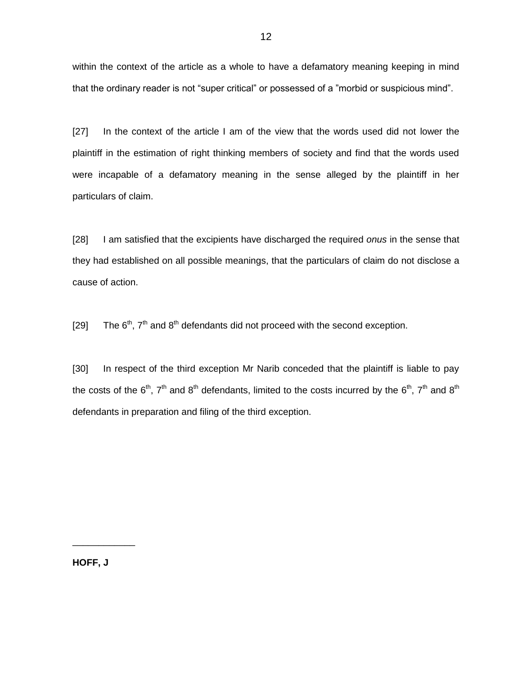within the context of the article as a whole to have a defamatory meaning keeping in mind that the ordinary reader is not "super critical" or possessed of a "morbid or suspicious mind".

[27] In the context of the article I am of the view that the words used did not lower the plaintiff in the estimation of right thinking members of society and find that the words used were incapable of a defamatory meaning in the sense alleged by the plaintiff in her particulars of claim.

[28] I am satisfied that the excipients have discharged the required *onus* in the sense that they had established on all possible meanings, that the particulars of claim do not disclose a cause of action.

[29] The  $6<sup>th</sup>$ ,  $7<sup>th</sup>$  and  $8<sup>th</sup>$  defendants did not proceed with the second exception.

[30] In respect of the third exception Mr Narib conceded that the plaintiff is liable to pay the costs of the 6<sup>th</sup>, 7<sup>th</sup> and 8<sup>th</sup> defendants, limited to the costs incurred by the 6<sup>th</sup>, 7<sup>th</sup> and 8<sup>th</sup> defendants in preparation and filing of the third exception.

**HOFF, J**

\_\_\_\_\_\_\_\_\_\_\_\_